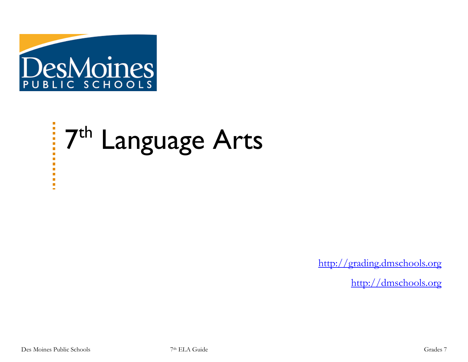

# 7<sup>th</sup> Language Arts

[http://grading.dmschools.org](http://grading.dmschools.org/)

[http://dmschools.org](http://dmschools.org/)

п n  $\blacksquare$  $\blacksquare$  $\blacksquare$ Ū,  $\mathbf{r}$  $\blacksquare$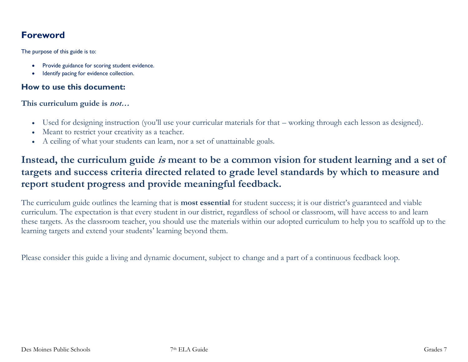## **Foreword**

The purpose of this guide is to:

- Provide guidance for scoring student evidence.
- Identify pacing for evidence collection.

#### **How to use this document:**

**This curriculum guide is not…**

- Used for designing instruction (you'll use your curricular materials for that working through each lesson as designed).
- Meant to restrict your creativity as a teacher.
- A ceiling of what your students can learn, nor a set of unattainable goals.

## **Instead, the curriculum guide is meant to be a common vision for student learning and a set of targets and success criteria directed related to grade level standards by which to measure and report student progress and provide meaningful feedback.**

The curriculum guide outlines the learning that is **most essential** for student success; it is our district's guaranteed and viable curriculum. The expectation is that every student in our district, regardless of school or classroom, will have access to and learn these targets. As the classroom teacher, you should use the materials within our adopted curriculum to help you to scaffold up to the learning targets and extend your students' learning beyond them.

Please consider this guide a living and dynamic document, subject to change and a part of a continuous feedback loop.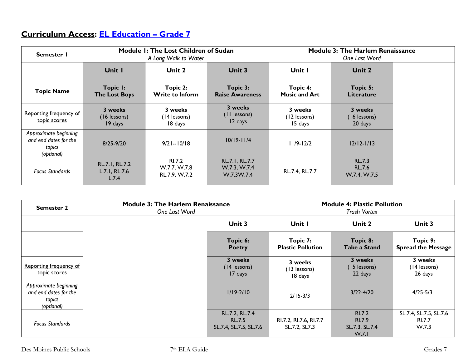## **Curriculum Access: [EL Education](https://curriculum.eleducation.org/curriculum/ela/2019/grade-7) – Grade 7**

| Semester I                                                             | Module 1: The Lost Children of Sudan<br>A Long Walk to Water |                                         | <b>Module 3: The Harlem Renaissance</b><br>One Last Word |                                    |                                                |  |
|------------------------------------------------------------------------|--------------------------------------------------------------|-----------------------------------------|----------------------------------------------------------|------------------------------------|------------------------------------------------|--|
|                                                                        | Unit I                                                       | Unit 2                                  | Unit 3                                                   | Unit I                             | Unit 2                                         |  |
| <b>Topic Name</b>                                                      | Topic I:<br><b>The Lost Boys</b>                             | Topic 2:<br><b>Write to Inform</b>      | Topic 3:<br><b>Raise Awareness</b>                       | Topic 4:<br><b>Music and Art</b>   | Topic 5:<br><b>Literature</b>                  |  |
| Reporting frequency of<br>topic scores                                 | 3 weeks<br>$(16$ lessons)<br>19 days                         | 3 weeks<br>(14 lessons)<br>18 days      | 3 weeks<br>(II lessons)<br>12 days                       | 3 weeks<br>(12 lessons)<br>15 days | 3 weeks<br>(16 lessons)<br>20 days             |  |
| Approximate beginning<br>and end dates for the<br>topics<br>(optional) | $8/25 - 9/20$                                                | $9/21 - 10/18$                          | $10/19 - 11/4$                                           | $11/9 - 12/2$                      | $12/12 - 1/13$                                 |  |
| <b>Focus Standards</b>                                                 | RL.7.1, RL.7.2<br>L.7.1, RL.7.6<br>L.7.4                     | RI.7.2<br>W.7.7, W.7.8<br>RL.7.9, W.7.2 | RL.7.1, RL.7.7<br>W.7.3, W.7.4<br>W.7.3W.7.4             | RL.7.4, RL.7.7                     | <b>RL.7.3</b><br><b>RL.7.6</b><br>W.7.4, W.7.5 |  |

| <b>Semester 2</b>                                                      | <b>Module 3: The Harlem Renaissance</b><br>One Last Word |                                                           | <b>Module 4: Plastic Pollution</b><br><b>Trash Vortex</b> |                                                    |                                                  |
|------------------------------------------------------------------------|----------------------------------------------------------|-----------------------------------------------------------|-----------------------------------------------------------|----------------------------------------------------|--------------------------------------------------|
|                                                                        |                                                          | Unit 3                                                    | Unit I                                                    | Unit 2                                             | Unit 3                                           |
|                                                                        |                                                          | Topic 6:<br><b>Poetry</b>                                 | Topic 7:<br><b>Plastic Pollution</b>                      | Topic 8:<br><b>Take a Stand</b>                    | Topic 9:<br><b>Spread the Message</b>            |
| Reporting frequency of<br>topic scores                                 |                                                          | 3 weeks<br>(14 lessons)<br>17 days                        | 3 weeks<br>(13 lessons)<br>18 days                        | 3 weeks<br>(15 lessons)<br>22 days                 | 3 weeks<br>(14 lessons)<br>26 days               |
| Approximate beginning<br>and end dates for the<br>topics<br>(optional) |                                                          | $1/19 - 2/10$                                             | $2/15 - 3/3$                                              | $3/22 - 4/20$                                      | $4/25 - 5/31$                                    |
| <b>Focus Standards</b>                                                 |                                                          | RL.7.2, RL.7.4<br><b>RL.7.5</b><br>SL.7.4, SL.7.5, SL.7.6 | RI.7.2, RI.7.6, RI.7.7<br>SL.7.2, SL7.3                   | RI.7.2<br><b>RI.7.9</b><br>SL.7.3, SL.7.4<br>W.7.1 | SL.7.4, SL.7.5, SL.7.6<br><b>RI.7.7</b><br>W.7.3 |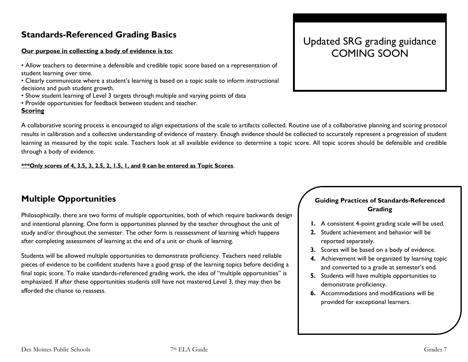## **Standards-Referenced Grading Basics**

#### **Our purpose in collecting a body of evidence is to:**

- Allow teachers to determine a defensible and credible topic score based on a representation of student learning over time.
- Clearly communicate where a student's learning is based on a topic scale to inform instructional decisions and push student growth.
- Show student learning of Level 3 targets through multiple and varying points of data
- Provide opportunities for feedback between student and teacher.

#### **Scoring**

Updated SRG grading guidance COMING SOON

A collaborative scoring process is encouraged to align expectations of the scale to artifacts collected. Routine use of a collaborative planning and scoring protocol results in calibration and a collective understanding of evidence of mastery. Enough evidence should be collected to accurately represent a progression of student learning as measured by the topic scale. Teachers look at all available evidence to determine a topic score. All topic scores should be defensible and credible through a body of evidence.

#### **\*\*\*Only scores of 4, 3.5, 3, 2.5, 2, 1.5, 1, and 0 can be entered as Topic Scores**.

## **Multiple Opportunities**

Philosophically, there are two forms of multiple opportunities, both of which require backwards design and intentional planning. One form is opportunities planned by the teacher throughout the unit of study and/or throughout the semester. The other form is reassessment of learning which happens after completing assessment of learning at the end of a unit or chunk of learning.

Students will be allowed multiple opportunities to demonstrate proficiency. Teachers need reliable pieces of evidence to be confident students have a good grasp of the learning topics before deciding a final topic score. To make standards-referenced grading work, the idea of "multiple opportunities" is emphasized. If after these opportunities students still have not mastered Level 3, they may then be afforded the chance to reassess.

#### **Guiding Practices of Standards-Referenced Grading**

- **1.** A consistent 4-point grading scale will be used.
- **2.** Student achievement and behavior will be reported separately.
- **3.** Scores will be based on a body of evidence.
- **4.** Achievement will be organized by learning topic and converted to a grade at semester's end.
- **5.** Students will have multiple opportunities to demonstrate proficiency.
- **6.** Accommodations and modifications will be provided for exceptional learners.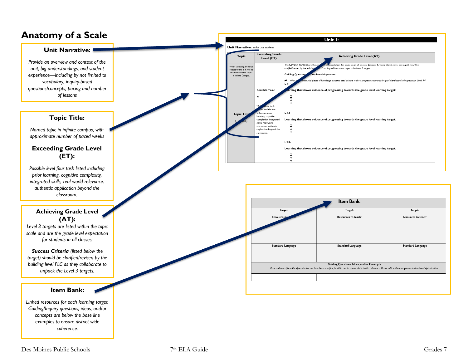## **Anatomy of a Scale**

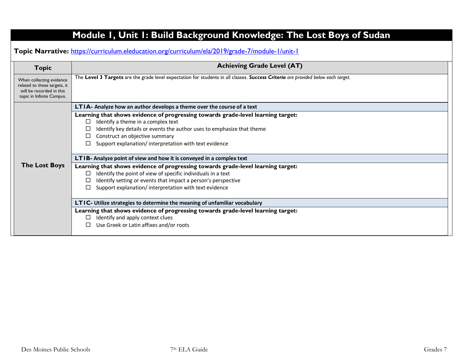| Topic Narrative: https://curriculum.eleducation.org/curriculum/ela/2019/grade-7/module-1/unit-1<br><b>Topic</b>   | <b>Achieving Grade Level (AT)</b>                                                                                                                                                                                                                                                                                                                                          |
|-------------------------------------------------------------------------------------------------------------------|----------------------------------------------------------------------------------------------------------------------------------------------------------------------------------------------------------------------------------------------------------------------------------------------------------------------------------------------------------------------------|
| When collecting evidence<br>related to these targets, it<br>will be recorded in this<br>topic in Infinite Campus. | The Level 3 Targets are the grade level expectation for students in all classes. Success Criteria are provided below each target.                                                                                                                                                                                                                                          |
|                                                                                                                   | LTIA- Analyze how an author develops a theme over the course of a text<br>Learning that shows evidence of progressing towards grade-level learning target:<br>Identify a theme in a complex text<br>⊔<br>Identify key details or events the author uses to emphasize that theme<br>Construct an objective summary<br>Support explanation/interpretation with text evidence |
| <b>The Lost Boys</b>                                                                                              | LTIB- Analyze point of view and how it is conveyed in a complex text<br>Learning that shows evidence of progressing towards grade-level learning target:<br>Identify the point of view of specific individuals in a text<br>$\Box$<br>Identify setting or events that impact a person's perspective<br>Support explanation/interpretation with text evidence               |
|                                                                                                                   | LTIC- Utilize strategies to determine the meaning of unfamiliar vocabulary<br>Learning that shows evidence of progressing towards grade-level learning target:<br>Identify and apply context clues<br>Use Greek or Latin affixes and/or roots                                                                                                                              |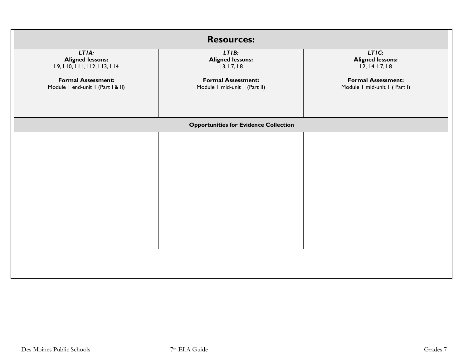| <b>Resources:</b>                                                                                                                 |                                                                                                              |                                                                                                                 |  |  |  |
|-----------------------------------------------------------------------------------------------------------------------------------|--------------------------------------------------------------------------------------------------------------|-----------------------------------------------------------------------------------------------------------------|--|--|--|
| LTIA:<br><b>Aligned lessons:</b><br>L9, LI0, LII, LI2, LI3, LI4<br><b>Formal Assessment:</b><br>Module I end-unit I (Part I & II) | LTIB:<br><b>Aligned lessons:</b><br>L3, L7, L8<br><b>Formal Assessment:</b><br>Module I mid-unit I (Part II) | LTIC:<br><b>Aligned lessons:</b><br>L2, L4, L7, L8<br><b>Formal Assessment:</b><br>Module I mid-unit I (Part I) |  |  |  |
|                                                                                                                                   | <b>Opportunities for Evidence Collection</b>                                                                 |                                                                                                                 |  |  |  |
|                                                                                                                                   |                                                                                                              |                                                                                                                 |  |  |  |
|                                                                                                                                   |                                                                                                              |                                                                                                                 |  |  |  |
|                                                                                                                                   |                                                                                                              |                                                                                                                 |  |  |  |
|                                                                                                                                   |                                                                                                              |                                                                                                                 |  |  |  |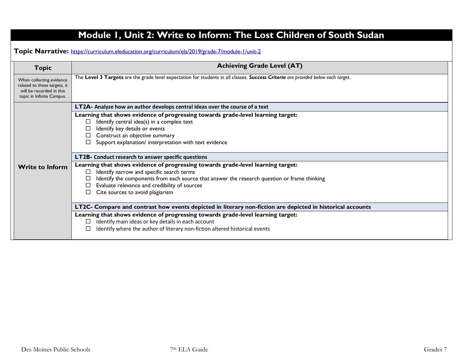|                                                                                                                   | Module I, Unit 2: Write to Inform: The Lost Children of South Sudan                                                                                                                                                                                                                                                |
|-------------------------------------------------------------------------------------------------------------------|--------------------------------------------------------------------------------------------------------------------------------------------------------------------------------------------------------------------------------------------------------------------------------------------------------------------|
|                                                                                                                   | Topic Narrative: https://curriculum.eleducation.org/curriculum/ela/2019/grade-7/module-1/unit-2                                                                                                                                                                                                                    |
| <b>Topic</b>                                                                                                      | <b>Achieving Grade Level (AT)</b>                                                                                                                                                                                                                                                                                  |
| When collecting evidence<br>related to these targets, it<br>will be recorded in this<br>topic in Infinite Campus. | The Level 3 Targets are the grade level expectation for students in all classes. Success Criteria are provided below each target.                                                                                                                                                                                  |
|                                                                                                                   | LT2A- Analyze how an author develops central ideas over the course of a text                                                                                                                                                                                                                                       |
|                                                                                                                   | Learning that shows evidence of progressing towards grade-level learning target:<br>Identify central idea(s) in a complex text<br>$\Box$<br>Identify key details or events<br>Construct an objective summary<br>Support explanation/ interpretation with text evidence                                             |
|                                                                                                                   | LT2B- Conduct research to answer specific questions                                                                                                                                                                                                                                                                |
| <b>Write to Inform</b>                                                                                            | Learning that shows evidence of progressing towards grade-level learning target:<br>Identify narrow and specific search terms<br>Identify the components from each source that answer the research question or frame thinking<br>Evaluate relevance and credibility of sources<br>Cite sources to avoid plagiarism |
|                                                                                                                   | LT2C- Compare and contrast how events depicted in literary non-fiction are depicted in historical accounts                                                                                                                                                                                                         |
|                                                                                                                   | Learning that shows evidence of progressing towards grade-level learning target:<br>Identify main ideas or key details in each account<br>Identify where the author of literary non-fiction altered historical events                                                                                              |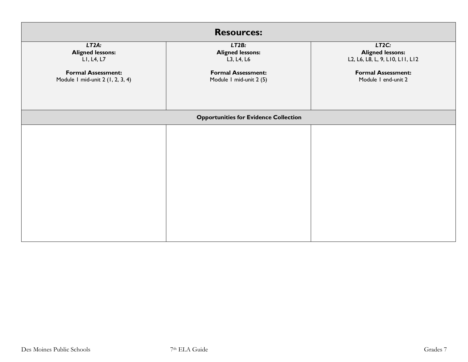| <b>Resources:</b>                                                                                               |                                                                                                        |                                                                                                                         |  |  |  |
|-----------------------------------------------------------------------------------------------------------------|--------------------------------------------------------------------------------------------------------|-------------------------------------------------------------------------------------------------------------------------|--|--|--|
| LT2A.<br><b>Aligned lessons:</b><br>LI, L4, L7<br><b>Formal Assessment:</b><br>Module I mid-unit 2 (1, 2, 3, 4) | LT2B:<br><b>Aligned lessons:</b><br>L3, L4, L6<br><b>Formal Assessment:</b><br>Module I mid-unit 2 (5) | LT2C:<br><b>Aligned lessons:</b><br>L2, L6, L8, L, 9, L10, L11, L12<br><b>Formal Assessment:</b><br>Module I end-unit 2 |  |  |  |
|                                                                                                                 | <b>Opportunities for Evidence Collection</b>                                                           |                                                                                                                         |  |  |  |
|                                                                                                                 |                                                                                                        |                                                                                                                         |  |  |  |
|                                                                                                                 |                                                                                                        |                                                                                                                         |  |  |  |
|                                                                                                                 |                                                                                                        |                                                                                                                         |  |  |  |
|                                                                                                                 |                                                                                                        |                                                                                                                         |  |  |  |
|                                                                                                                 |                                                                                                        |                                                                                                                         |  |  |  |
|                                                                                                                 |                                                                                                        |                                                                                                                         |  |  |  |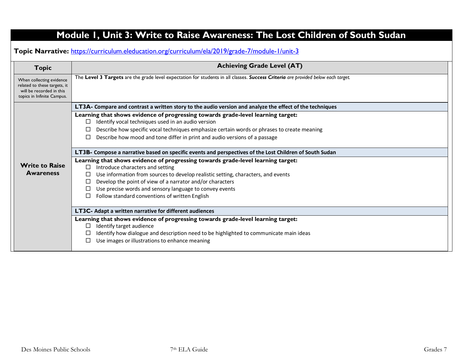# **Module 1, Unit 3: Write to Raise Awareness: The Lost Children of South Sudan**

**Topic Narrative:** <https://curriculum.eleducation.org/curriculum/ela/2019/grade-7/module-1/unit-3>

| <b>Topic</b>                                                                                                       | <b>Achieving Grade Level (AT)</b>                                                                                                                                                                                                                                                                                                                                                             |  |  |  |
|--------------------------------------------------------------------------------------------------------------------|-----------------------------------------------------------------------------------------------------------------------------------------------------------------------------------------------------------------------------------------------------------------------------------------------------------------------------------------------------------------------------------------------|--|--|--|
| When collecting evidence<br>related to these targets, it<br>will be recorded in this<br>topics in Infinite Campus. | The Level 3 Targets are the grade level expectation for students in all classes. Success Criteria are provided below each target.                                                                                                                                                                                                                                                             |  |  |  |
|                                                                                                                    | LT3A- Compare and contrast a written story to the audio version and analyze the effect of the techniques                                                                                                                                                                                                                                                                                      |  |  |  |
|                                                                                                                    | Learning that shows evidence of progressing towards grade-level learning target:<br>Identify vocal techniques used in an audio version<br>Describe how specific vocal techniques emphasize certain words or phrases to create meaning<br>Describe how mood and tone differ in print and audio versions of a passage                                                                           |  |  |  |
|                                                                                                                    | LT3B- Compose a narrative based on specific events and perspectives of the Lost Children of South Sudan                                                                                                                                                                                                                                                                                       |  |  |  |
| <b>Write to Raise</b><br><b>Awareness</b>                                                                          | Learning that shows evidence of progressing towards grade-level learning target:<br>Introduce characters and setting<br>$\Box$<br>Use information from sources to develop realistic setting, characters, and events<br>Develop the point of view of a narrator and/or characters<br>Use precise words and sensory language to convey events<br>Follow standard conventions of written English |  |  |  |
|                                                                                                                    | LT3C- Adapt a written narrative for different audiences                                                                                                                                                                                                                                                                                                                                       |  |  |  |
|                                                                                                                    | Learning that shows evidence of progressing towards grade-level learning target:<br>Identify target audience<br>Identify how dialogue and description need to be highlighted to communicate main ideas<br>Use images or illustrations to enhance meaning                                                                                                                                      |  |  |  |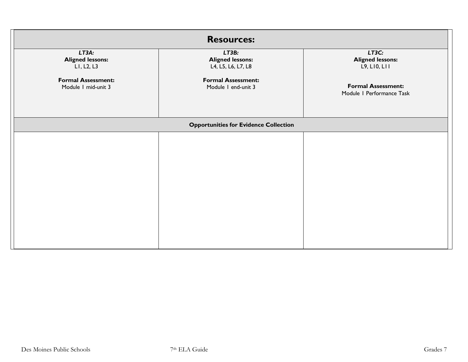| <b>Resources:</b>                                |                                                        |                                                        |  |  |  |
|--------------------------------------------------|--------------------------------------------------------|--------------------------------------------------------|--|--|--|
| LT3A:<br><b>Aligned lessons:</b><br>LI, L2, L3   | LT3B:<br><b>Aligned lessons:</b><br>L4, L5, L6, L7, L8 | LT3C:<br><b>Aligned lessons:</b><br>L9, L10, L11       |  |  |  |
| <b>Formal Assessment:</b><br>Module I mid-unit 3 | <b>Formal Assessment:</b><br>Module I end-unit 3       | <b>Formal Assessment:</b><br>Module I Performance Task |  |  |  |
|                                                  | <b>Opportunities for Evidence Collection</b>           |                                                        |  |  |  |
|                                                  |                                                        |                                                        |  |  |  |
|                                                  |                                                        |                                                        |  |  |  |
|                                                  |                                                        |                                                        |  |  |  |
|                                                  |                                                        |                                                        |  |  |  |
|                                                  |                                                        |                                                        |  |  |  |
|                                                  |                                                        |                                                        |  |  |  |
|                                                  |                                                        |                                                        |  |  |  |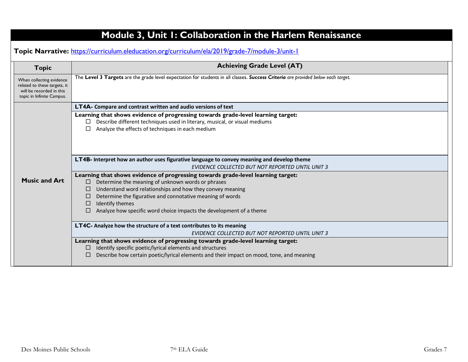| The Level 3 Targets are the grade level expectation for students in all classes. Success Criteria are provided below each target.<br>When collecting evidence<br>related to these targets, it<br>will be recorded in this<br>topic in Infinite Campus.<br><b>LT4A-</b> Compare and contrast written and audio versions of text<br>Learning that shows evidence of progressing towards grade-level learning target:<br>Describe different techniques used in literary, musical, or visual mediums<br>□<br>Analyze the effects of techniques in each medium<br>LT4B- Interpret how an author uses figurative language to convey meaning and develop theme<br>EVIDENCE COLLECTED BUT NOT REPORTED UNTIL UNIT 3<br>Learning that shows evidence of progressing towards grade-level learning target:<br><b>Music and Art</b><br>Determine the meaning of unknown words or phrases<br>$\Box$<br>Understand word relationships and how they convey meaning<br>$\Box$<br>Determine the figurative and connotative meaning of words<br>Identify themes<br>□<br>Analyze how specific word choice impacts the development of a theme<br>LT4C- Analyze how the structure of a text contributes to its meaning | <b>Topic</b> | <b>Achieving Grade Level (AT)</b>                                                                                                                              |
|---------------------------------------------------------------------------------------------------------------------------------------------------------------------------------------------------------------------------------------------------------------------------------------------------------------------------------------------------------------------------------------------------------------------------------------------------------------------------------------------------------------------------------------------------------------------------------------------------------------------------------------------------------------------------------------------------------------------------------------------------------------------------------------------------------------------------------------------------------------------------------------------------------------------------------------------------------------------------------------------------------------------------------------------------------------------------------------------------------------------------------------------------------------------------------------------------|--------------|----------------------------------------------------------------------------------------------------------------------------------------------------------------|
|                                                                                                                                                                                                                                                                                                                                                                                                                                                                                                                                                                                                                                                                                                                                                                                                                                                                                                                                                                                                                                                                                                                                                                                                   |              |                                                                                                                                                                |
|                                                                                                                                                                                                                                                                                                                                                                                                                                                                                                                                                                                                                                                                                                                                                                                                                                                                                                                                                                                                                                                                                                                                                                                                   |              |                                                                                                                                                                |
|                                                                                                                                                                                                                                                                                                                                                                                                                                                                                                                                                                                                                                                                                                                                                                                                                                                                                                                                                                                                                                                                                                                                                                                                   |              |                                                                                                                                                                |
|                                                                                                                                                                                                                                                                                                                                                                                                                                                                                                                                                                                                                                                                                                                                                                                                                                                                                                                                                                                                                                                                                                                                                                                                   |              |                                                                                                                                                                |
|                                                                                                                                                                                                                                                                                                                                                                                                                                                                                                                                                                                                                                                                                                                                                                                                                                                                                                                                                                                                                                                                                                                                                                                                   |              |                                                                                                                                                                |
|                                                                                                                                                                                                                                                                                                                                                                                                                                                                                                                                                                                                                                                                                                                                                                                                                                                                                                                                                                                                                                                                                                                                                                                                   |              |                                                                                                                                                                |
|                                                                                                                                                                                                                                                                                                                                                                                                                                                                                                                                                                                                                                                                                                                                                                                                                                                                                                                                                                                                                                                                                                                                                                                                   |              |                                                                                                                                                                |
|                                                                                                                                                                                                                                                                                                                                                                                                                                                                                                                                                                                                                                                                                                                                                                                                                                                                                                                                                                                                                                                                                                                                                                                                   |              |                                                                                                                                                                |
|                                                                                                                                                                                                                                                                                                                                                                                                                                                                                                                                                                                                                                                                                                                                                                                                                                                                                                                                                                                                                                                                                                                                                                                                   |              |                                                                                                                                                                |
|                                                                                                                                                                                                                                                                                                                                                                                                                                                                                                                                                                                                                                                                                                                                                                                                                                                                                                                                                                                                                                                                                                                                                                                                   |              |                                                                                                                                                                |
| Learning that shows evidence of progressing towards grade-level learning target:                                                                                                                                                                                                                                                                                                                                                                                                                                                                                                                                                                                                                                                                                                                                                                                                                                                                                                                                                                                                                                                                                                                  |              | EVIDENCE COLLECTED BUT NOT REPORTED UNTIL UNIT 3                                                                                                               |
|                                                                                                                                                                                                                                                                                                                                                                                                                                                                                                                                                                                                                                                                                                                                                                                                                                                                                                                                                                                                                                                                                                                                                                                                   |              | Identify specific poetic/lyrical elements and structures<br>$\Box$<br>Describe how certain poetic/lyrical elements and their impact on mood, tone, and meaning |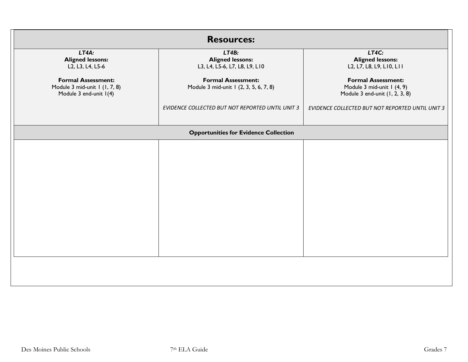| <b>Resources:</b>                                                                    |                                                                     |                                                                                           |  |  |  |
|--------------------------------------------------------------------------------------|---------------------------------------------------------------------|-------------------------------------------------------------------------------------------|--|--|--|
| LT4A:<br><b>Aligned lessons:</b><br>L2, L3, L4, L5-6                                 | LT4B:<br><b>Aligned lessons:</b><br>L3, L4, L5-6, L7, L8, L9, L10   | LT4C:<br><b>Aligned lessons:</b><br>L2, L7, L8, L9, L10, L11                              |  |  |  |
| <b>Formal Assessment:</b><br>Module 3 mid-unit 1 (1, 7, 8)<br>Module 3 end-unit 1(4) | <b>Formal Assessment:</b><br>Module 3 mid-unit 1 (2, 3, 5, 6, 7, 8) | <b>Formal Assessment:</b><br>Module 3 mid-unit 1 (4, 9)<br>Module 3 end-unit (1, 2, 3, 8) |  |  |  |
|                                                                                      | EVIDENCE COLLECTED BUT NOT REPORTED UNTIL UNIT 3                    | EVIDENCE COLLECTED BUT NOT REPORTED UNTIL UNIT 3                                          |  |  |  |
|                                                                                      | <b>Opportunities for Evidence Collection</b>                        |                                                                                           |  |  |  |
|                                                                                      |                                                                     |                                                                                           |  |  |  |
|                                                                                      |                                                                     |                                                                                           |  |  |  |
|                                                                                      |                                                                     |                                                                                           |  |  |  |
|                                                                                      |                                                                     |                                                                                           |  |  |  |
|                                                                                      |                                                                     |                                                                                           |  |  |  |
|                                                                                      |                                                                     |                                                                                           |  |  |  |
|                                                                                      |                                                                     |                                                                                           |  |  |  |
|                                                                                      |                                                                     |                                                                                           |  |  |  |
|                                                                                      |                                                                     |                                                                                           |  |  |  |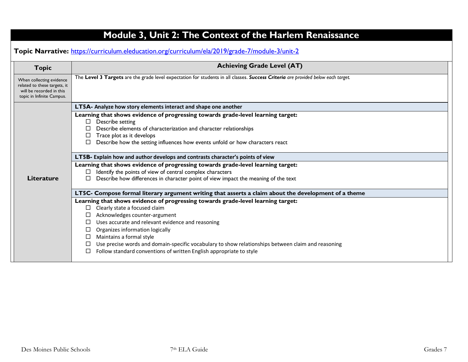| <b>Topic</b>                                                                                                      | <b>Achieving Grade Level (AT)</b>                                                                                                                                                                                                                                                                                                                                                                                                                                                                |
|-------------------------------------------------------------------------------------------------------------------|--------------------------------------------------------------------------------------------------------------------------------------------------------------------------------------------------------------------------------------------------------------------------------------------------------------------------------------------------------------------------------------------------------------------------------------------------------------------------------------------------|
| When collecting evidence<br>related to these targets, it<br>will be recorded in this<br>topic in Infinite Campus. | The Level 3 Targets are the grade level expectation for students in all classes. Success Criteria are provided below each target.                                                                                                                                                                                                                                                                                                                                                                |
|                                                                                                                   | LT5A- Analyze how story elements interact and shape one another                                                                                                                                                                                                                                                                                                                                                                                                                                  |
|                                                                                                                   | Learning that shows evidence of progressing towards grade-level learning target:<br>Describe setting<br>□<br>Describe elements of characterization and character relationships<br>Trace plot as it develops<br>⊔<br>Describe how the setting influences how events unfold or how characters react                                                                                                                                                                                                |
|                                                                                                                   | LT5B- Explain how and author develops and contrasts character's points of view                                                                                                                                                                                                                                                                                                                                                                                                                   |
|                                                                                                                   | Learning that shows evidence of progressing towards grade-level learning target:                                                                                                                                                                                                                                                                                                                                                                                                                 |
| <b>Literature</b>                                                                                                 | Identify the points of view of central complex characters<br>Describe how differences in character point of view impact the meaning of the text<br>П                                                                                                                                                                                                                                                                                                                                             |
|                                                                                                                   | LT5C- Compose formal literary argument writing that asserts a claim about the development of a theme                                                                                                                                                                                                                                                                                                                                                                                             |
|                                                                                                                   | Learning that shows evidence of progressing towards grade-level learning target:<br>Clearly state a focused claim<br>$\Box$<br>Acknowledges counter-argument<br>$\Box$<br>Uses accurate and relevant evidence and reasoning<br>⊔<br>Organizes information logically<br>Maintains a formal style<br>□<br>Use precise words and domain-specific vocabulary to show relationships between claim and reasoning<br>□<br>Follow standard conventions of written English appropriate to style<br>$\Box$ |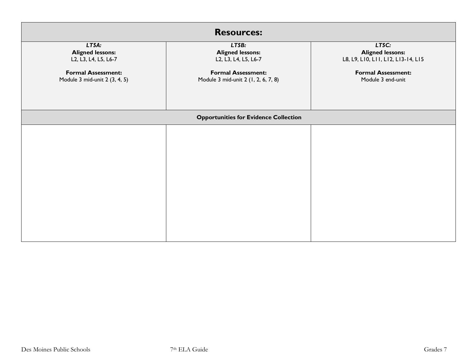| <b>Resources:</b>                                                                                                      |                                                                                                                              |                                                                                                                          |  |  |  |
|------------------------------------------------------------------------------------------------------------------------|------------------------------------------------------------------------------------------------------------------------------|--------------------------------------------------------------------------------------------------------------------------|--|--|--|
| LT5A:<br><b>Aligned lessons:</b><br>L2, L3, L4, L5, L6-7<br><b>Formal Assessment:</b><br>Module 3 mid-unit 2 (3, 4, 5) | LT5B:<br><b>Aligned lessons:</b><br>L2, L3, L4, L5, L6-7<br><b>Formal Assessment:</b><br>Module 3 mid-unit 2 (1, 2, 6, 7, 8) | LT5C:<br><b>Aligned lessons:</b><br>L8, L9, LI0, LII, LI2, LI3-14, LI5<br><b>Formal Assessment:</b><br>Module 3 end-unit |  |  |  |
|                                                                                                                        | <b>Opportunities for Evidence Collection</b>                                                                                 |                                                                                                                          |  |  |  |
|                                                                                                                        |                                                                                                                              |                                                                                                                          |  |  |  |
|                                                                                                                        |                                                                                                                              |                                                                                                                          |  |  |  |
|                                                                                                                        |                                                                                                                              |                                                                                                                          |  |  |  |
|                                                                                                                        |                                                                                                                              |                                                                                                                          |  |  |  |
|                                                                                                                        |                                                                                                                              |                                                                                                                          |  |  |  |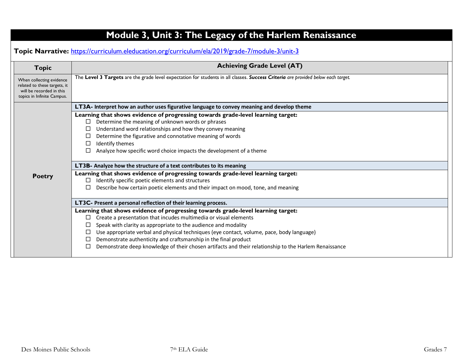| <b>Topic</b>                                                                                                       | <b>Achieving Grade Level (AT)</b>                                                                                                                                                                                                                                                                                                                                                                                                                                                                                        |  |
|--------------------------------------------------------------------------------------------------------------------|--------------------------------------------------------------------------------------------------------------------------------------------------------------------------------------------------------------------------------------------------------------------------------------------------------------------------------------------------------------------------------------------------------------------------------------------------------------------------------------------------------------------------|--|
| When collecting evidence<br>related to these targets, it<br>will be recorded in this<br>topics in Infinite Campus. | The Level 3 Targets are the grade level expectation for students in all classes. Success Criteria are provided below each target.                                                                                                                                                                                                                                                                                                                                                                                        |  |
|                                                                                                                    | LT3A- Interpret how an author uses figurative language to convey meaning and develop theme                                                                                                                                                                                                                                                                                                                                                                                                                               |  |
|                                                                                                                    | Learning that shows evidence of progressing towards grade-level learning target:<br>Determine the meaning of unknown words or phrases<br>□<br>Understand word relationships and how they convey meaning<br>Determine the figurative and connotative meaning of words<br>□<br>Identify themes<br>$\Box$<br>Analyze how specific word choice impacts the development of a theme                                                                                                                                            |  |
|                                                                                                                    | LT3B- Analyze how the structure of a text contributes to its meaning                                                                                                                                                                                                                                                                                                                                                                                                                                                     |  |
| <b>Poetry</b>                                                                                                      | Learning that shows evidence of progressing towards grade-level learning target:<br>Identify specific poetic elements and structures<br>⊔                                                                                                                                                                                                                                                                                                                                                                                |  |
|                                                                                                                    | Describe how certain poetic elements and their impact on mood, tone, and meaning                                                                                                                                                                                                                                                                                                                                                                                                                                         |  |
|                                                                                                                    | LT3C- Present a personal reflection of their learning process.                                                                                                                                                                                                                                                                                                                                                                                                                                                           |  |
|                                                                                                                    | Learning that shows evidence of progressing towards grade-level learning target:<br>Create a presentation that incudes multimedia or visual elements<br>□<br>Speak with clarity as appropriate to the audience and modality<br>⊔<br>Use appropriate verbal and physical techniques (eye contact, volume, pace, body language)<br>Demonstrate authenticity and craftsmanship in the final product<br>□<br>Demonstrate deep knowledge of their chosen artifacts and their relationship to the Harlem Renaissance<br>$\Box$ |  |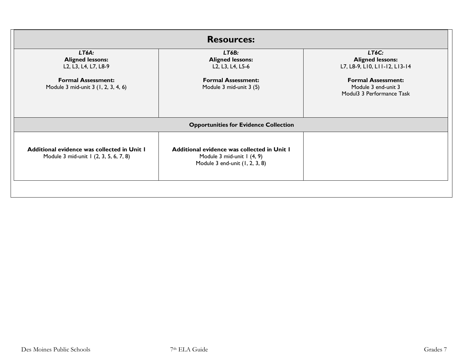| <b>Resources:</b>                                                                                            |                                                                                                                                                    |  |
|--------------------------------------------------------------------------------------------------------------|----------------------------------------------------------------------------------------------------------------------------------------------------|--|
| LT6B:<br><b>Aligned lessons:</b><br>L2, L3, L4, L5-6<br><b>Formal Assessment:</b><br>Module 3 mid-unit 3 (5) | LT6C:<br><b>Aligned lessons:</b><br>L7, L8-9, LI0, LII-I2, LI3-I4<br><b>Formal Assessment:</b><br>Module 3 end-unit 3<br>Modul3 3 Performance Task |  |
| <b>Opportunities for Evidence Collection</b>                                                                 |                                                                                                                                                    |  |
| Additional evidence was collected in Unit I<br>Module 3 mid-unit 1 (4, 9)<br>Module 3 end-unit (1, 2, 3, 8)  |                                                                                                                                                    |  |
|                                                                                                              |                                                                                                                                                    |  |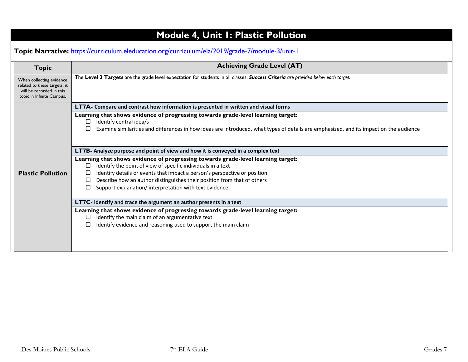| <b>Module 4, Unit I: Plastic Pollution</b> |  |
|--------------------------------------------|--|
|--------------------------------------------|--|

**Topic Narrative:** <https://curriculum.eleducation.org/curriculum/ela/2019/grade-7/module-3/unit-1>

| <b>Topic</b>                                                                                                      | <b>Achieving Grade Level (AT)</b>                                                                                                                                                                                                                               |  |
|-------------------------------------------------------------------------------------------------------------------|-----------------------------------------------------------------------------------------------------------------------------------------------------------------------------------------------------------------------------------------------------------------|--|
| When collecting evidence<br>related to these targets, it<br>will be recorded in this<br>topic in Infinite Campus. | The Level 3 Targets are the grade level expectation for students in all classes. Success Criteria are provided below each target.                                                                                                                               |  |
|                                                                                                                   | LT7A- Compare and contrast how information is presented in written and visual forms                                                                                                                                                                             |  |
|                                                                                                                   | Learning that shows evidence of progressing towards grade-level learning target:<br>Identify central idea/s<br>$\Box$<br>Examine similarities and differences in how ideas are introduced, what types of details are emphasized, and its impact on the audience |  |
|                                                                                                                   | <b>LT7B-</b> Analyze purpose and point of view and how it is conveyed in a complex text                                                                                                                                                                         |  |
|                                                                                                                   | Learning that shows evidence of progressing towards grade-level learning target:                                                                                                                                                                                |  |
|                                                                                                                   | Identify the point of view of specific individuals in a text<br>$\Box$                                                                                                                                                                                          |  |
| <b>Plastic Pollution</b>                                                                                          | Identify details or events that impact a person's perspective or position                                                                                                                                                                                       |  |
|                                                                                                                   | Describe how an author distinguishes their position from that of others                                                                                                                                                                                         |  |
|                                                                                                                   | Support explanation/interpretation with text evidence                                                                                                                                                                                                           |  |
|                                                                                                                   | LT7C- Identify and trace the argument an author presents in a text                                                                                                                                                                                              |  |
|                                                                                                                   | Learning that shows evidence of progressing towards grade-level learning target:                                                                                                                                                                                |  |
|                                                                                                                   | Identify the main claim of an argumentative text                                                                                                                                                                                                                |  |
|                                                                                                                   | Identify evidence and reasoning used to support the main claim                                                                                                                                                                                                  |  |
|                                                                                                                   |                                                                                                                                                                                                                                                                 |  |
|                                                                                                                   |                                                                                                                                                                                                                                                                 |  |
|                                                                                                                   |                                                                                                                                                                                                                                                                 |  |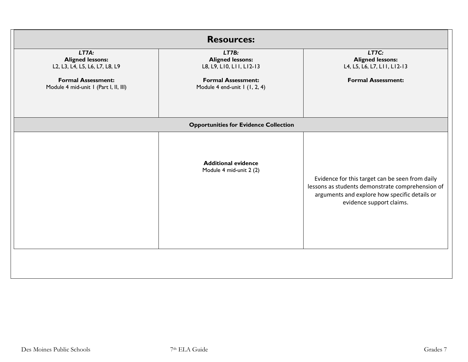| <b>Resources:</b>                                                  |                                                              |                                                                                                                                                                                  |
|--------------------------------------------------------------------|--------------------------------------------------------------|----------------------------------------------------------------------------------------------------------------------------------------------------------------------------------|
| LT7A:<br><b>Aligned lessons:</b><br>L2, L3, L4, L5, L6, L7, L8, L9 | LT7B:<br><b>Aligned lessons:</b><br>L8, L9, L10, L11, L12-13 | LT7C:<br><b>Aligned lessons:</b><br>L4, L5, L6, L7, L11, L12-13                                                                                                                  |
| <b>Formal Assessment:</b><br>Module 4 mid-unit 1 (Part I, II, III) | <b>Formal Assessment:</b><br>Module 4 end-unit I (I, 2, 4)   | <b>Formal Assessment:</b>                                                                                                                                                        |
|                                                                    |                                                              |                                                                                                                                                                                  |
|                                                                    | <b>Opportunities for Evidence Collection</b>                 |                                                                                                                                                                                  |
|                                                                    | <b>Additional evidence</b><br>Module 4 mid-unit 2 (2)        | Evidence for this target can be seen from daily<br>lessons as students demonstrate comprehension of<br>arguments and explore how specific details or<br>evidence support claims. |
|                                                                    |                                                              |                                                                                                                                                                                  |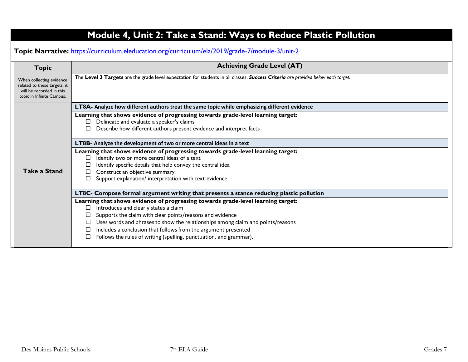| <b>Topic</b>                                                                                                      | <b>Achieving Grade Level (AT)</b>                                                                                                                                                                         |  |
|-------------------------------------------------------------------------------------------------------------------|-----------------------------------------------------------------------------------------------------------------------------------------------------------------------------------------------------------|--|
| When collecting evidence<br>related to these targets, it<br>will be recorded in this<br>topic in Infinite Campus. | The Level 3 Targets are the grade level expectation for students in all classes. Success Criteria are provided below each target.                                                                         |  |
|                                                                                                                   | LT8A- Analyze how different authors treat the same topic while emphasizing different evidence                                                                                                             |  |
|                                                                                                                   | Learning that shows evidence of progressing towards grade-level learning target:<br>Delineate and evaluate a speaker's claims<br>⊔<br>Describe how different authors present evidence and interpret facts |  |
|                                                                                                                   | LT8B- Analyze the development of two or more central ideas in a text                                                                                                                                      |  |
|                                                                                                                   | Learning that shows evidence of progressing towards grade-level learning target:                                                                                                                          |  |
|                                                                                                                   | Identify two or more central ideas of a text<br>□<br>Identify specific details that help convey the central idea                                                                                          |  |
| <b>Take a Stand</b>                                                                                               | Construct an objective summary                                                                                                                                                                            |  |
|                                                                                                                   | Support explanation/ interpretation with text evidence                                                                                                                                                    |  |
|                                                                                                                   | LT8C- Compose formal argument writing that presents a stance reducing plastic pollution                                                                                                                   |  |
|                                                                                                                   | Learning that shows evidence of progressing towards grade-level learning target:                                                                                                                          |  |
|                                                                                                                   | Introduces and clearly states a claim<br>□                                                                                                                                                                |  |
|                                                                                                                   | Supports the claim with clear points/reasons and evidence<br>□<br>Uses words and phrases to show the relationships among claim and points/reasons<br>⊔                                                    |  |
|                                                                                                                   | Includes a conclusion that follows from the argument presented<br>⊔                                                                                                                                       |  |
|                                                                                                                   | Follows the rules of writing (spelling, punctuation, and grammar).                                                                                                                                        |  |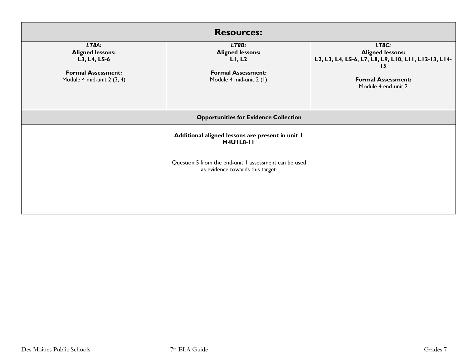| <b>Resources:</b>                                                                                           |                                                                                                    |                                                                                                                                                    |
|-------------------------------------------------------------------------------------------------------------|----------------------------------------------------------------------------------------------------|----------------------------------------------------------------------------------------------------------------------------------------------------|
| LT8A:<br><b>Aligned lessons:</b><br>L3, L4, L5-6<br><b>Formal Assessment:</b><br>Module 4 mid-unit 2 (3, 4) | LT8B:<br><b>Aligned lessons:</b><br>LI, L2<br><b>Formal Assessment:</b><br>Module 4 mid-unit 2 (1) | LT8C:<br><b>Aligned lessons:</b><br>L2, L3, L4, L5-6, L7, L8, L9, L10, L11, L12-13, L14-<br>15<br><b>Formal Assessment:</b><br>Module 4 end-unit 2 |
| <b>Opportunities for Evidence Collection</b>                                                                |                                                                                                    |                                                                                                                                                    |
|                                                                                                             | Additional aligned lessons are present in unit I<br><b>M4U1L8-11</b>                               |                                                                                                                                                    |
|                                                                                                             | Question 5 from the end-unit 1 assessment can be used<br>as evidence towards this target.          |                                                                                                                                                    |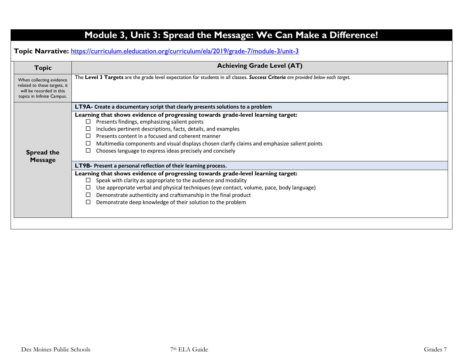| <b>Topic</b>                                                                                                       | <b>Achieving Grade Level (AT)</b>                                                                                                                                 |  |
|--------------------------------------------------------------------------------------------------------------------|-------------------------------------------------------------------------------------------------------------------------------------------------------------------|--|
| When collecting evidence<br>related to these targets, it<br>will be recorded in this<br>topics in Infinite Campus. | The Level 3 Targets are the grade level expectation for students in all classes. Success Criteria are provided below each target.                                 |  |
|                                                                                                                    | LT9A- Create a documentary script that clearly presents solutions to a problem                                                                                    |  |
|                                                                                                                    | Learning that shows evidence of progressing towards grade-level learning target:                                                                                  |  |
|                                                                                                                    | Presents findings, emphasizing salient points<br>П                                                                                                                |  |
|                                                                                                                    | Includes pertinent descriptions, facts, details, and examples<br>Presents content in a focused and coherent manner<br>П                                           |  |
|                                                                                                                    | Multimedia components and visual displays chosen clarify claims and emphasize salient points                                                                      |  |
| <b>Spread the</b>                                                                                                  | Chooses language to express ideas precisely and concisely                                                                                                         |  |
| <b>Message</b>                                                                                                     | LT9B- Present a personal reflection of their learning process.                                                                                                    |  |
|                                                                                                                    | Learning that shows evidence of progressing towards grade-level learning target:                                                                                  |  |
|                                                                                                                    | Speak with clarity as appropriate to the audience and modality<br>□                                                                                               |  |
|                                                                                                                    | Use appropriate verbal and physical techniques (eye contact, volume, pace, body language)<br>Demonstrate authenticity and craftsmanship in the final product<br>□ |  |
|                                                                                                                    | Demonstrate deep knowledge of their solution to the problem                                                                                                       |  |